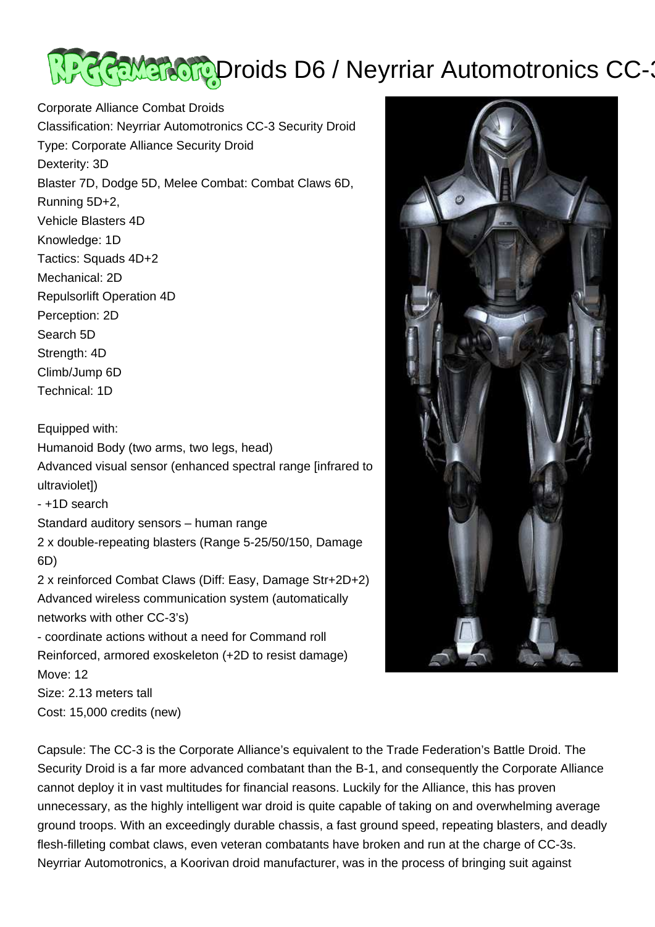## **REMERCIP Droids D6 / Neyrriar Automotronics CC-3**

Corporate Alliance Combat Droids Classification: Neyrriar Automotronics CC-3 Security Droid Type: Corporate Alliance Security Droid Dexterity: 3D Blaster 7D, Dodge 5D, Melee Combat: Combat Claws 6D, Running 5D+2, Vehicle Blasters 4D Knowledge: 1D Tactics: Squads 4D+2 Mechanical: 2D Repulsorlift Operation 4D Perception: 2D Search 5D Strength: 4D Climb/Jump 6D Technical: 1D

Equipped with: Humanoid Body (two arms, two legs, head) Advanced visual sensor (enhanced spectral range [infrared to ultraviolet]) - +1D search Standard auditory sensors – human range 2 x double-repeating blasters (Range 5-25/50/150, Damage 6D) 2 x reinforced Combat Claws (Diff: Easy, Damage Str+2D+2) Advanced wireless communication system (automatically networks with other CC-3's) - coordinate actions without a need for Command roll Reinforced, armored exoskeleton (+2D to resist damage) Move: 12 Size: 2.13 meters tall Cost: 15,000 credits (new)

Capsule: The CC-3 is the Corporate Alliance's equivalent to the Trade Federation's Battle Droid. The Security Droid is a far more advanced combatant than the B-1, and consequently the Corporate Alliance cannot deploy it in vast multitudes for financial reasons. Luckily for the Alliance, this has proven unnecessary, as the highly intelligent war droid is quite capable of taking on and overwhelming average ground troops. With an exceedingly durable chassis, a fast ground speed, repeating blasters, and deadly flesh-filleting combat claws, even veteran combatants have broken and run at the charge of CC-3s. Neyrriar Automotronics, a Koorivan droid manufacturer, was in the process of bringing suit against